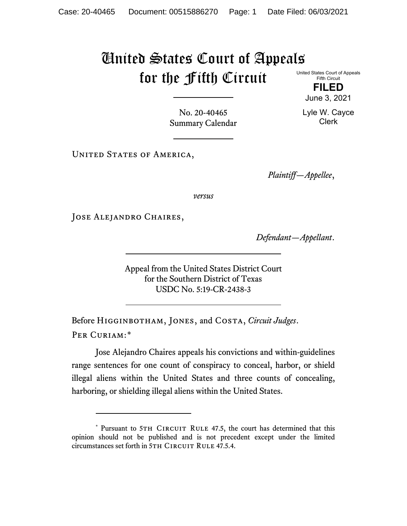## United States Court of Appeals for the Fifth Circuit

United States Court of Appeals Fifth Circuit

> **FILED** June 3, 2021

Lyle W. Cayce Clerk

No. 20-40465 Summary Calendar

UNITED STATES OF AMERICA,

*Plaintiff—Appellee*,

*versus*

Jose Alejandro Chaires,

*Defendant—Appellant*.

Appeal from the United States District Court for the Southern District of Texas USDC No. 5:19-CR-2438-3

Before Higginbotham, Jones, and Costa, *Circuit Judges*. Per Curiam:[\\*](#page-0-0)

Jose Alejandro Chaires appeals his convictions and within-guidelines range sentences for one count of conspiracy to conceal, harbor, or shield illegal aliens within the United States and three counts of concealing, harboring, or shielding illegal aliens within the United States.

<span id="page-0-0"></span><sup>\*</sup> Pursuant to 5TH CIRCUIT RULE 47.5, the court has determined that this opinion should not be published and is not precedent except under the limited circumstances set forth in 5TH CIRCUIT RULE 47.5.4.